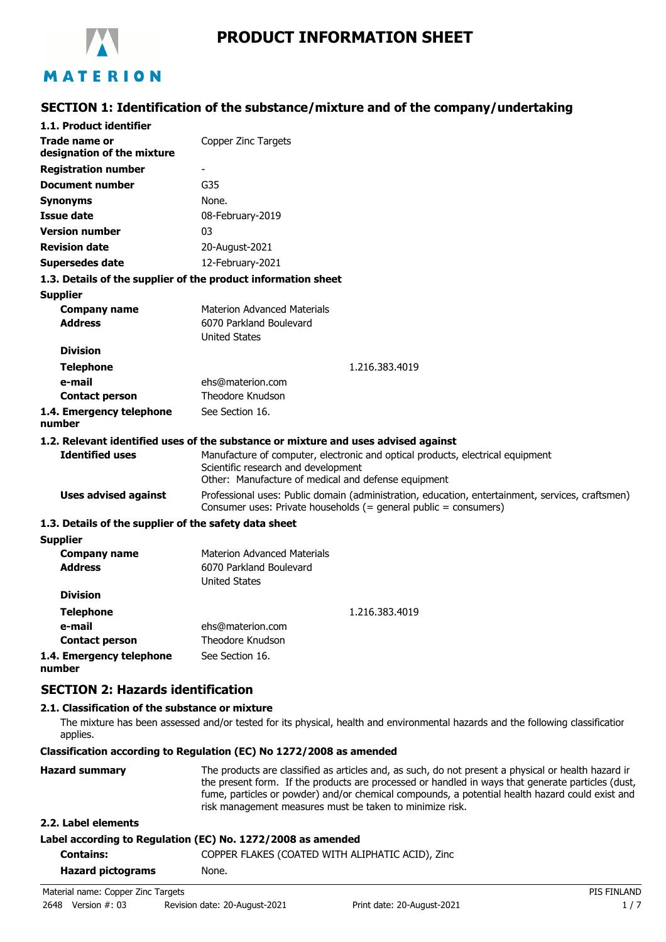

# **PRODUCT INFORMATION SHEET**

# **SECTION 1: Identification of the substance/mixture and of the company/undertaking**

| 1.1. Product identifier                                       |                                                                                                                                                                              |
|---------------------------------------------------------------|------------------------------------------------------------------------------------------------------------------------------------------------------------------------------|
| Trade name or<br>designation of the mixture                   | Copper Zinc Targets                                                                                                                                                          |
| <b>Registration number</b>                                    | $\blacksquare$                                                                                                                                                               |
| <b>Document number</b>                                        | G35                                                                                                                                                                          |
| Synonyms                                                      | None.                                                                                                                                                                        |
| <b>Issue date</b>                                             | 08-February-2019                                                                                                                                                             |
| <b>Version number</b>                                         | 03                                                                                                                                                                           |
| <b>Revision date</b>                                          | 20-August-2021                                                                                                                                                               |
| <b>Supersedes date</b>                                        | 12-February-2021                                                                                                                                                             |
| 1.3. Details of the supplier of the product information sheet |                                                                                                                                                                              |
| <b>Supplier</b>                                               |                                                                                                                                                                              |
| <b>Company name</b>                                           | <b>Materion Advanced Materials</b>                                                                                                                                           |
| <b>Address</b>                                                | 6070 Parkland Boulevard                                                                                                                                                      |
|                                                               | <b>United States</b>                                                                                                                                                         |
| <b>Division</b>                                               |                                                                                                                                                                              |
| <b>Telephone</b>                                              | 1.216.383.4019                                                                                                                                                               |
| e-mail                                                        | ehs@materion.com<br><b>Theodore Knudson</b>                                                                                                                                  |
| <b>Contact person</b>                                         |                                                                                                                                                                              |
| 1.4. Emergency telephone<br>number                            | See Section 16.                                                                                                                                                              |
|                                                               | 1.2. Relevant identified uses of the substance or mixture and uses advised against                                                                                           |
| <b>Identified uses</b>                                        | Manufacture of computer, electronic and optical products, electrical equipment<br>Scientific research and development<br>Other: Manufacture of medical and defense equipment |
| <b>Uses advised against</b>                                   | Professional uses: Public domain (administration, education, entertainment, services, craftsmen)<br>Consumer uses: Private households (= general public = consumers)         |
| 1.3. Details of the supplier of the safety data sheet         |                                                                                                                                                                              |
| <b>Supplier</b>                                               |                                                                                                                                                                              |
| <b>Company name</b>                                           | <b>Materion Advanced Materials</b>                                                                                                                                           |
| <b>Address</b>                                                | 6070 Parkland Boulevard<br><b>United States</b>                                                                                                                              |
| <b>Division</b>                                               |                                                                                                                                                                              |
| <b>Telephone</b>                                              | 1.216.383.4019                                                                                                                                                               |
| e-mail                                                        | ehs@materion.com                                                                                                                                                             |
| <b>Contact person</b>                                         | <b>Theodore Knudson</b>                                                                                                                                                      |
| 1.4. Emergency telephone                                      | See Section 16.                                                                                                                                                              |

**number**

**SECTION 2: Hazards identification**

### **2.1. Classification of the substance or mixture**

The mixture has been assessed and/or tested for its physical, health and environmental hazards and the following classification applies.

**Classification according to Regulation (EC) No 1272/2008 as amended**

| <b>Hazard summary</b> | The products are classified as articles and, as such, do not present a physical or health hazard ir<br>the present form. If the products are processed or handled in ways that generate particles (dust,<br>fume, particles or powder) and/or chemical compounds, a potential health hazard could exist and<br>risk management measures must be taken to minimize risk. |
|-----------------------|-------------------------------------------------------------------------------------------------------------------------------------------------------------------------------------------------------------------------------------------------------------------------------------------------------------------------------------------------------------------------|
| 2.2. Label elements   |                                                                                                                                                                                                                                                                                                                                                                         |

### **Label according to Regulation (EC) No. 1272/2008 as amended**

| <b>Contains:</b>                   | COPPER FLAKES (COATED WITH ALIPHATIC ACID), Zinc |             |  |
|------------------------------------|--------------------------------------------------|-------------|--|
| <b>Hazard pictograms</b>           | None.                                            |             |  |
| Material name: Copper Zinc Targets |                                                  | PIS FINLAND |  |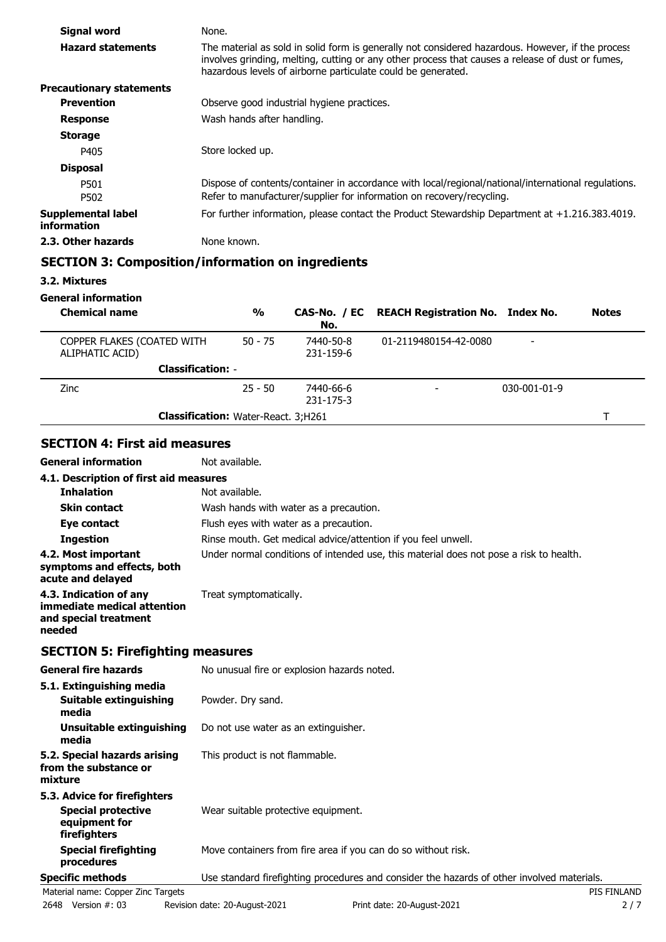| Signal word                       | None.                                                                                                                                                                                                                                                                 |
|-----------------------------------|-----------------------------------------------------------------------------------------------------------------------------------------------------------------------------------------------------------------------------------------------------------------------|
| <b>Hazard statements</b>          | The material as sold in solid form is generally not considered hazardous. However, if the process<br>involves grinding, melting, cutting or any other process that causes a release of dust or fumes,<br>hazardous levels of airborne particulate could be generated. |
| <b>Precautionary statements</b>   |                                                                                                                                                                                                                                                                       |
| <b>Prevention</b>                 | Observe good industrial hygiene practices.                                                                                                                                                                                                                            |
| <b>Response</b>                   | Wash hands after handling.                                                                                                                                                                                                                                            |
| <b>Storage</b>                    |                                                                                                                                                                                                                                                                       |
| P405                              | Store locked up.                                                                                                                                                                                                                                                      |
| <b>Disposal</b>                   |                                                                                                                                                                                                                                                                       |
| P501<br>P502                      | Dispose of contents/container in accordance with local/regional/national/international regulations.<br>Refer to manufacturer/supplier for information on recovery/recycling.                                                                                          |
| Supplemental label<br>information | For further information, please contact the Product Stewardship Department at $+1.216.383.4019$ .                                                                                                                                                                     |
| 2.3. Other hazards                | None known.                                                                                                                                                                                                                                                           |

### **SECTION 3: Composition/information on ingredients**

**3.2. Mixtures**

**General information**

| <b>Chemical name</b>                          | $\frac{0}{0}$                              | No.                    | CAS-No. / EC REACH Registration No. Index No. |                      | <b>Notes</b> |
|-----------------------------------------------|--------------------------------------------|------------------------|-----------------------------------------------|----------------------|--------------|
| COPPER FLAKES (COATED WITH<br>ALIPHATIC ACID) | $50 - 75$                                  | 7440-50-8<br>231-159-6 | 01-2119480154-42-0080                         |                      |              |
| <b>Classification: -</b>                      |                                            |                        |                                               |                      |              |
| <b>Zinc</b>                                   | $25 - 50$                                  | 7440-66-6<br>231-175-3 |                                               | $030 - 001 - 01 - 9$ |              |
|                                               | <b>Classification: Water-React. 3;H261</b> |                        |                                               |                      |              |

## **SECTION 4: First aid measures**

**General information** Not available.

| 4.1. Description of first aid measures                                                   |                                                                                        |  |  |
|------------------------------------------------------------------------------------------|----------------------------------------------------------------------------------------|--|--|
| <b>Inhalation</b>                                                                        | Not available.                                                                         |  |  |
| <b>Skin contact</b>                                                                      | Wash hands with water as a precaution.                                                 |  |  |
| Eye contact                                                                              | Flush eyes with water as a precaution.                                                 |  |  |
| Ingestion                                                                                | Rinse mouth. Get medical advice/attention if you feel unwell.                          |  |  |
| 4.2. Most important<br>symptoms and effects, both<br>acute and delayed                   | Under normal conditions of intended use, this material does not pose a risk to health. |  |  |
| 4.3. Indication of any<br>immediate medical attention<br>and special treatment<br>needed | Treat symptomatically.                                                                 |  |  |

## **SECTION 5: Firefighting measures**

| <b>General fire hazards</b>                                                                | No unusual fire or explosion hazards noted.                                                |  |
|--------------------------------------------------------------------------------------------|--------------------------------------------------------------------------------------------|--|
| 5.1. Extinguishing media<br>Suitable extinguishing<br>media                                | Powder. Dry sand.                                                                          |  |
| Unsuitable extinguishing<br>media                                                          | Do not use water as an extinguisher.                                                       |  |
| 5.2. Special hazards arising<br>from the substance or<br>mixture                           | This product is not flammable.                                                             |  |
| 5.3. Advice for firefighters<br><b>Special protective</b><br>equipment for<br>firefighters | Wear suitable protective equipment.                                                        |  |
| <b>Special firefighting</b><br>procedures                                                  | Move containers from fire area if you can do so without risk.                              |  |
| <b>Specific methods</b>                                                                    | Use standard firefighting procedures and consider the hazards of other involved materials. |  |
| Material name: Copper Zinc Targets                                                         | <b>PIS FINLAND</b>                                                                         |  |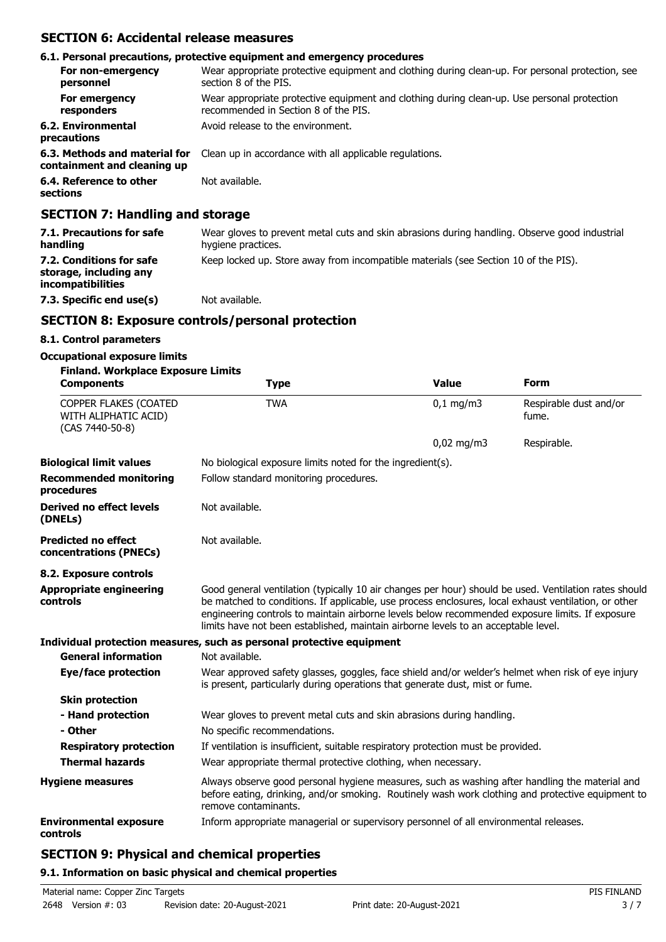## **SECTION 6: Accidental release measures**

|                                                              | 6.1. Personal precautions, protective equipment and emergency procedures                                                            |
|--------------------------------------------------------------|-------------------------------------------------------------------------------------------------------------------------------------|
| For non-emergency<br>personnel                               | Wear appropriate protective equipment and clothing during clean-up. For personal protection, see<br>section 8 of the PIS.           |
| For emergency<br>responders                                  | Wear appropriate protective equipment and clothing during clean-up. Use personal protection<br>recommended in Section 8 of the PIS. |
| 6.2. Environmental<br>precautions                            | Avoid release to the environment.                                                                                                   |
| 6.3. Methods and material for<br>containment and cleaning up | Clean up in accordance with all applicable regulations.                                                                             |
| 6.4. Reference to other<br>sections                          | Not available.                                                                                                                      |

### **SECTION 7: Handling and storage**

| 7.1. Precautions for safe<br>handling                                   | Wear gloves to prevent metal cuts and skin abrasions during handling. Observe good industrial<br>hygiene practices. |
|-------------------------------------------------------------------------|---------------------------------------------------------------------------------------------------------------------|
| 7.2. Conditions for safe<br>storage, including any<br>incompatibilities | Keep locked up. Store away from incompatible materials (see Section 10 of the PIS).                                 |
| 7.3. Specific end use(s)                                                | Not available.                                                                                                      |

### **SECTION 8: Exposure controls/personal protection**

### **8.1. Control parameters**

### **Occupational exposure limits**

| <b>Finland. Workplace Exposure Limits</b>                        |                                                                                                                                                                                                                                                                                                                                                                                                        |                                                               |                                 |  |  |  |
|------------------------------------------------------------------|--------------------------------------------------------------------------------------------------------------------------------------------------------------------------------------------------------------------------------------------------------------------------------------------------------------------------------------------------------------------------------------------------------|---------------------------------------------------------------|---------------------------------|--|--|--|
| <b>Components</b>                                                | <b>Type</b>                                                                                                                                                                                                                                                                                                                                                                                            | <b>Value</b>                                                  | <b>Form</b>                     |  |  |  |
| COPPER FLAKES (COATED<br>WITH ALIPHATIC ACID)<br>(CAS 7440-50-8) | <b>TWA</b>                                                                                                                                                                                                                                                                                                                                                                                             | $0,1$ mg/m3                                                   | Respirable dust and/or<br>fume. |  |  |  |
|                                                                  |                                                                                                                                                                                                                                                                                                                                                                                                        | $0,02$ mg/m3                                                  | Respirable.                     |  |  |  |
| <b>Biological limit values</b>                                   | No biological exposure limits noted for the ingredient(s).                                                                                                                                                                                                                                                                                                                                             |                                                               |                                 |  |  |  |
| <b>Recommended monitoring</b><br>procedures                      | Follow standard monitoring procedures.                                                                                                                                                                                                                                                                                                                                                                 |                                                               |                                 |  |  |  |
| <b>Derived no effect levels</b><br>(DNELs)                       | Not available.                                                                                                                                                                                                                                                                                                                                                                                         |                                                               |                                 |  |  |  |
| <b>Predicted no effect</b><br>concentrations (PNECs)             | Not available.                                                                                                                                                                                                                                                                                                                                                                                         |                                                               |                                 |  |  |  |
| 8.2. Exposure controls                                           |                                                                                                                                                                                                                                                                                                                                                                                                        |                                                               |                                 |  |  |  |
| <b>Appropriate engineering</b><br><b>controls</b>                | Good general ventilation (typically 10 air changes per hour) should be used. Ventilation rates should<br>be matched to conditions. If applicable, use process enclosures, local exhaust ventilation, or other<br>engineering controls to maintain airborne levels below recommended exposure limits. If exposure<br>limits have not been established, maintain airborne levels to an acceptable level. |                                                               |                                 |  |  |  |
|                                                                  | Individual protection measures, such as personal protective equipment                                                                                                                                                                                                                                                                                                                                  |                                                               |                                 |  |  |  |
| <b>General information</b>                                       | Not available.                                                                                                                                                                                                                                                                                                                                                                                         |                                                               |                                 |  |  |  |
| Eye/face protection                                              | Wear approved safety glasses, goggles, face shield and/or welder's helmet when risk of eye injury<br>is present, particularly during operations that generate dust, mist or fume.                                                                                                                                                                                                                      |                                                               |                                 |  |  |  |
| <b>Skin protection</b>                                           |                                                                                                                                                                                                                                                                                                                                                                                                        |                                                               |                                 |  |  |  |
| - Hand protection                                                | Wear gloves to prevent metal cuts and skin abrasions during handling.                                                                                                                                                                                                                                                                                                                                  |                                                               |                                 |  |  |  |
| - Other                                                          | No specific recommendations.                                                                                                                                                                                                                                                                                                                                                                           |                                                               |                                 |  |  |  |
| <b>Respiratory protection</b>                                    | If ventilation is insufficient, suitable respiratory protection must be provided.                                                                                                                                                                                                                                                                                                                      |                                                               |                                 |  |  |  |
| <b>Thermal hazards</b>                                           |                                                                                                                                                                                                                                                                                                                                                                                                        | Wear appropriate thermal protective clothing, when necessary. |                                 |  |  |  |
| <b>Hygiene measures</b>                                          | Always observe good personal hygiene measures, such as washing after handling the material and<br>before eating, drinking, and/or smoking. Routinely wash work clothing and protective equipment to<br>remove contaminants.                                                                                                                                                                            |                                                               |                                 |  |  |  |
| <b>Environmental exposure</b><br>controls                        | Inform appropriate managerial or supervisory personnel of all environmental releases.                                                                                                                                                                                                                                                                                                                  |                                                               |                                 |  |  |  |

### **SECTION 9: Physical and chemical properties**

### **9.1. Information on basic physical and chemical properties**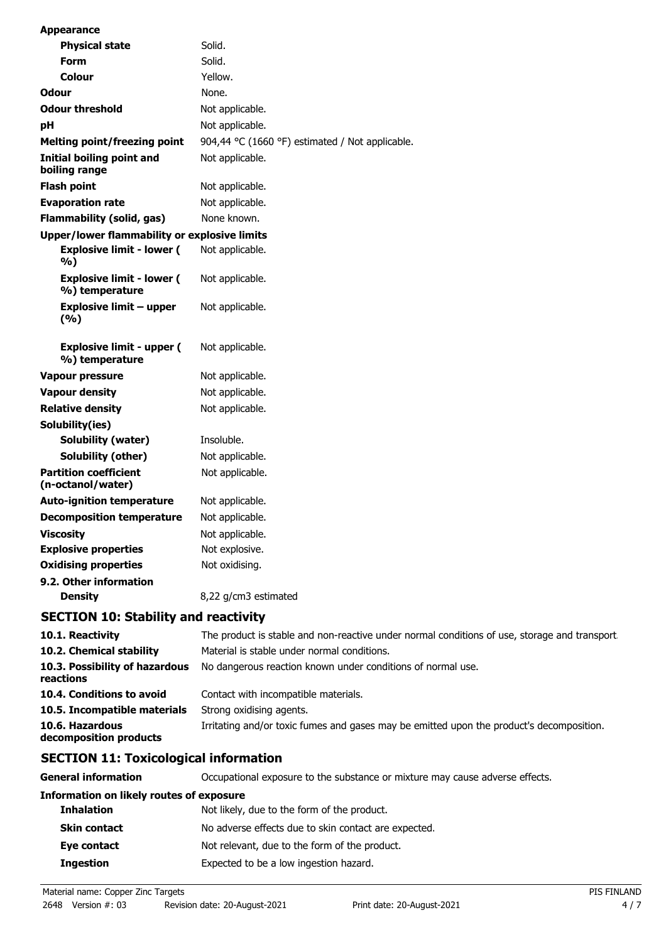| <b>Appearance</b>                                  |                                                 |
|----------------------------------------------------|-------------------------------------------------|
| <b>Physical state</b>                              | Solid.                                          |
| Form                                               | Solid.                                          |
| Colour                                             | Yellow.                                         |
| <b>Odour</b>                                       | None.                                           |
| <b>Odour threshold</b>                             | Not applicable.                                 |
| рH                                                 | Not applicable.                                 |
| Melting point/freezing point                       | 904,44 °C (1660 °F) estimated / Not applicable. |
| <b>Initial boiling point and</b><br>boiling range  | Not applicable.                                 |
| <b>Flash point</b>                                 | Not applicable.                                 |
| <b>Evaporation rate</b>                            | Not applicable.                                 |
| Flammability (solid, gas)                          | None known.                                     |
| Upper/lower flammability or explosive limits       |                                                 |
| <b>Explosive limit - lower (</b><br>%)             | Not applicable.                                 |
| <b>Explosive limit - lower (</b><br>%) temperature | Not applicable.                                 |
| Explosive limit – upper<br>(%)                     | Not applicable.                                 |
| <b>Explosive limit - upper (</b><br>%) temperature | Not applicable.                                 |
| Vapour pressure                                    | Not applicable.                                 |
| Vapour density                                     | Not applicable.                                 |
| <b>Relative density</b>                            | Not applicable.                                 |
| Solubility(ies)                                    |                                                 |
| Solubility (water)                                 | Insoluble.                                      |
| Solubility (other)                                 | Not applicable.                                 |
| <b>Partition coefficient</b><br>(n-octanol/water)  | Not applicable.                                 |
| <b>Auto-ignition temperature</b>                   | Not applicable.                                 |
| <b>Decomposition temperature</b>                   | Not applicable.                                 |
| <b>Viscosity</b>                                   | Not applicable.                                 |
| <b>Explosive properties</b>                        | Not explosive.                                  |
| <b>Oxidising properties</b>                        | Not oxidising.                                  |
| 9.2. Other information                             |                                                 |
| <b>Density</b>                                     | 8,22 g/cm3 estimated                            |

## **SECTION 10: Stability and reactivity**

| 10.1. Reactivity                            | The product is stable and non-reactive under normal conditions of use, storage and transport. |
|---------------------------------------------|-----------------------------------------------------------------------------------------------|
| 10.2. Chemical stability                    | Material is stable under normal conditions.                                                   |
| 10.3. Possibility of hazardous<br>reactions | No dangerous reaction known under conditions of normal use.                                   |
| 10.4. Conditions to avoid                   | Contact with incompatible materials.                                                          |
| 10.5. Incompatible materials                | Strong oxidising agents.                                                                      |
| 10.6. Hazardous<br>decomposition products   | Irritating and/or toxic fumes and gases may be emitted upon the product's decomposition.      |

# **SECTION 11: Toxicological information**

| General information                             | Occupational exposure to the substance or mixture may cause adverse effects. |  |  |  |
|-------------------------------------------------|------------------------------------------------------------------------------|--|--|--|
| <b>Information on likely routes of exposure</b> |                                                                              |  |  |  |
| <b>Inhalation</b>                               | Not likely, due to the form of the product.                                  |  |  |  |
| <b>Skin contact</b>                             | No adverse effects due to skin contact are expected.                         |  |  |  |
| Eye contact                                     | Not relevant, due to the form of the product.                                |  |  |  |
| <b>Ingestion</b>                                | Expected to be a low ingestion hazard.                                       |  |  |  |

Material name: Copper Zinc Targets PIS FINLAND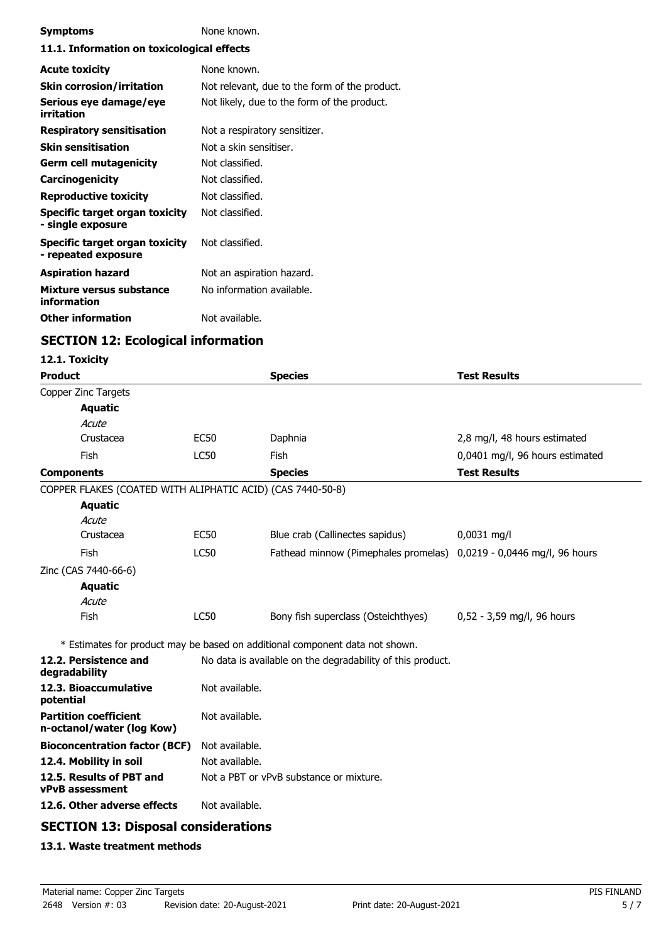| <b>Symptoms</b>                                       | None known.                                   |  |  |
|-------------------------------------------------------|-----------------------------------------------|--|--|
| 11.1. Information on toxicological effects            |                                               |  |  |
| <b>Acute toxicity</b>                                 | None known.                                   |  |  |
| <b>Skin corrosion/irritation</b>                      | Not relevant, due to the form of the product. |  |  |
| Serious eye damage/eye<br>irritation                  | Not likely, due to the form of the product.   |  |  |
| <b>Respiratory sensitisation</b>                      | Not a respiratory sensitizer.                 |  |  |
| <b>Skin sensitisation</b>                             | Not a skin sensitiser.                        |  |  |
| Germ cell mutagenicity                                | Not classified.                               |  |  |
| <b>Carcinogenicity</b>                                | Not classified.                               |  |  |
| <b>Reproductive toxicity</b>                          | Not classified.                               |  |  |
| Specific target organ toxicity<br>- single exposure   | Not classified.                               |  |  |
| Specific target organ toxicity<br>- repeated exposure | Not classified.                               |  |  |
| <b>Aspiration hazard</b>                              | Not an aspiration hazard.                     |  |  |
| Mixture versus substance<br>information               | No information available.                     |  |  |
| <b>Other information</b>                              | Not available.                                |  |  |

# **SECTION 12: Ecological information**

### **12.1. Toxicity**

| <b>Product</b>                                             |                                         | <b>Species</b>                                                               | <b>Test Results</b>             |  |
|------------------------------------------------------------|-----------------------------------------|------------------------------------------------------------------------------|---------------------------------|--|
| Copper Zinc Targets                                        |                                         |                                                                              |                                 |  |
| <b>Aquatic</b>                                             |                                         |                                                                              |                                 |  |
| Acute                                                      |                                         |                                                                              |                                 |  |
| Crustacea                                                  | <b>EC50</b>                             | Daphnia                                                                      | 2,8 mg/l, 48 hours estimated    |  |
| Fish                                                       | <b>LC50</b>                             | Fish                                                                         | 0,0401 mg/l, 96 hours estimated |  |
| <b>Components</b>                                          |                                         | <b>Species</b>                                                               | <b>Test Results</b>             |  |
| COPPER FLAKES (COATED WITH ALIPHATIC ACID) (CAS 7440-50-8) |                                         |                                                                              |                                 |  |
| <b>Aquatic</b>                                             |                                         |                                                                              |                                 |  |
| Acute                                                      |                                         |                                                                              |                                 |  |
| Crustacea                                                  | <b>EC50</b>                             | Blue crab (Callinectes sapidus)                                              | 0,0031 mg/l                     |  |
| Fish                                                       | <b>LC50</b>                             | Fathead minnow (Pimephales promelas)                                         | 0,0219 - 0,0446 mg/l, 96 hours  |  |
| Zinc (CAS 7440-66-6)                                       |                                         |                                                                              |                                 |  |
| <b>Aquatic</b>                                             |                                         |                                                                              |                                 |  |
| Acute                                                      |                                         |                                                                              |                                 |  |
| Fish                                                       | <b>LC50</b>                             | Bony fish superclass (Osteichthyes)                                          | 0,52 - 3,59 mg/l, 96 hours      |  |
|                                                            |                                         | * Estimates for product may be based on additional component data not shown. |                                 |  |
| 12.2. Persistence and<br>degradability                     |                                         | No data is available on the degradability of this product.                   |                                 |  |
| 12.3. Bioaccumulative<br>potential                         | Not available.                          |                                                                              |                                 |  |
| <b>Partition coefficient</b><br>n-octanol/water (log Kow)  | Not available.                          |                                                                              |                                 |  |
| <b>Bioconcentration factor (BCF)</b>                       | Not available.                          |                                                                              |                                 |  |
| 12.4. Mobility in soil                                     | Not available.                          |                                                                              |                                 |  |
| 12.5. Results of PBT and<br>vPvB assessment                | Not a PBT or vPvB substance or mixture. |                                                                              |                                 |  |
| 12.6. Other adverse effects                                | Not available.                          |                                                                              |                                 |  |
| CECTION 12. Dienesel sensiderations                        |                                         |                                                                              |                                 |  |

### **SECTION 13: Disposal considerations**

### **13.1. Waste treatment methods**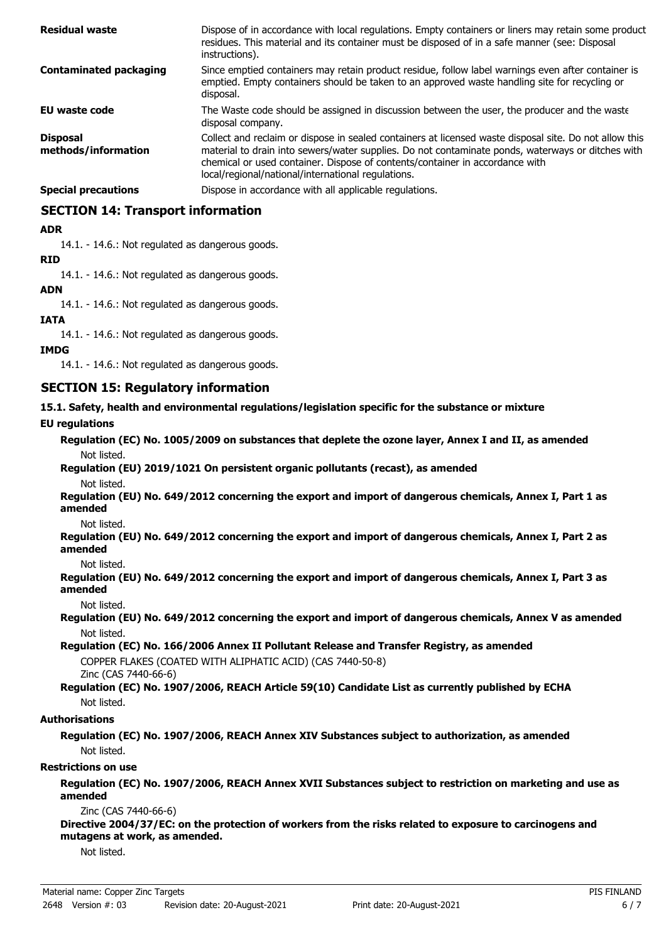| <b>Residual waste</b>                  | Dispose of in accordance with local regulations. Empty containers or liners may retain some product<br>residues. This material and its container must be disposed of in a safe manner (see: Disposal<br>instructions).                                                                                                                            |
|----------------------------------------|---------------------------------------------------------------------------------------------------------------------------------------------------------------------------------------------------------------------------------------------------------------------------------------------------------------------------------------------------|
| <b>Contaminated packaging</b>          | Since emptied containers may retain product residue, follow label warnings even after container is<br>emptied. Empty containers should be taken to an approved waste handling site for recycling or<br>disposal.                                                                                                                                  |
| EU waste code                          | The Waste code should be assigned in discussion between the user, the producer and the waste<br>disposal company.                                                                                                                                                                                                                                 |
| <b>Disposal</b><br>methods/information | Collect and reclaim or dispose in sealed containers at licensed waste disposal site. Do not allow this<br>material to drain into sewers/water supplies. Do not contaminate ponds, waterways or ditches with<br>chemical or used container. Dispose of contents/container in accordance with<br>local/regional/national/international regulations. |
| <b>Special precautions</b>             | Dispose in accordance with all applicable regulations.                                                                                                                                                                                                                                                                                            |

### **SECTION 14: Transport information**

### **ADR**

14.1. - 14.6.: Not regulated as dangerous goods.

### **RID**

14.1. - 14.6.: Not regulated as dangerous goods.

### **ADN**

14.1. - 14.6.: Not regulated as dangerous goods.

### **IATA**

14.1. - 14.6.: Not regulated as dangerous goods.

### **IMDG**

14.1. - 14.6.: Not regulated as dangerous goods.

### **SECTION 15: Regulatory information**

**15.1. Safety, health and environmental regulations/legislation specific for the substance or mixture**

### **EU regulations**

**Regulation (EC) No. 1005/2009 on substances that deplete the ozone layer, Annex I and II, as amended** Not listed.

**Regulation (EU) 2019/1021 On persistent organic pollutants (recast), as amended** Not listed.

**Regulation (EU) No. 649/2012 concerning the export and import of dangerous chemicals, Annex I, Part 1 as amended**

Not listed.

**Regulation (EU) No. 649/2012 concerning the export and import of dangerous chemicals, Annex I, Part 2 as amended**

#### Not listed.

**Regulation (EU) No. 649/2012 concerning the export and import of dangerous chemicals, Annex I, Part 3 as amended**

#### Not listed.

**Regulation (EU) No. 649/2012 concerning the export and import of dangerous chemicals, Annex V as amended** Not listed.

**Regulation (EC) No. 166/2006 Annex II Pollutant Release and Transfer Registry, as amended** COPPER FLAKES (COATED WITH ALIPHATIC ACID) (CAS 7440-50-8) Zinc (CAS 7440-66-6)

**Regulation (EC) No. 1907/2006, REACH Article 59(10) Candidate List as currently published by ECHA** Not listed.

### **Authorisations**

**Regulation (EC) No. 1907/2006, REACH Annex XIV Substances subject to authorization, as amended** Not listed.

#### **Restrictions on use**

**Regulation (EC) No. 1907/2006, REACH Annex XVII Substances subject to restriction on marketing and use as amended**

#### Zinc (CAS 7440-66-6)

**Directive 2004/37/EC: on the protection of workers from the risks related to exposure to carcinogens and mutagens at work, as amended.**

Not listed.